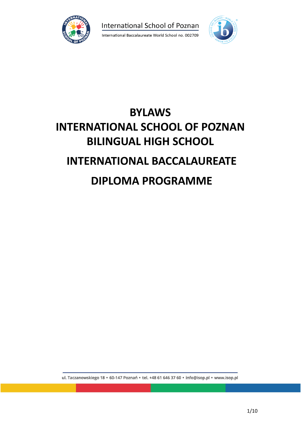

International School of Poznan



# **BYLAWS INTERNATIONAL SCHOOL OF POZNAN BILINGUAL HIGH SCHOOL INTERNATIONAL BACCALAUREATE DIPLOMA PROGRAMME**

ul. Taczanowskiego 18 · 60-147 Poznań · tel. +48 61 646 37 60 · info@isop.pl · www.isop.pl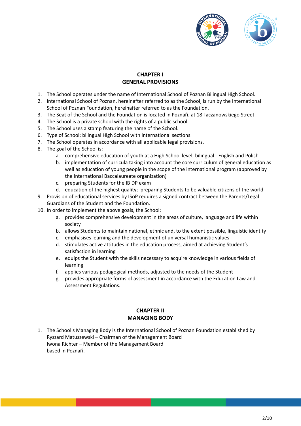

# **CHAPTER I GENERAL PROVISIONS**

- 1. The School operates under the name of International School of Poznan Bilingual High School.
- 2. International School of Poznan, hereinafter referred to as the School, is run by the International School of Poznan Foundation, hereinafter referred to as the Foundation.
- 3. The Seat of the School and the Foundation is located in Poznań, at 18 Taczanowskiego Street.
- 4. The School is a private school with the rights of a public school.
- 5. The School uses a stamp featuring the name of the School.
- 6. Type of School: bilingual High School with international sections.
- 7. The School operates in accordance with all applicable legal provisions.
- 8. The goal of the School is:
	- a. comprehensive education of youth at a High School level, bilingual English and Polish
	- b. implementation of curricula taking into account the core curriculum of general education as well as education of young people in the scope of the international program (approved by the International Baccalaureate organization)
	- c. preparing Students for the IB DP exam
	- d. education of the highest quality; preparing Students to be valuable citizens of the world
- 9. Provision of educational services by ISoP requires a signed contract between the Parents/Legal Guardians of the Student and the Foundation.
- 10. In order to implement the above goals, the School:
	- a. provides comprehensive development in the areas of culture, language and life within society
	- b. allows Students to maintain national, ethnic and, to the extent possible, linguistic identity
	- c. emphasises learning and the development of universal humanistic values
	- d. stimulates active attitudes in the education process, aimed at achieving Student's satisfaction in learning
	- e. equips the Student with the skills necessary to acquire knowledge in various fields of learning
	- f. applies various pedagogical methods, adjusted to the needs of the Student
	- g. provides appropriate forms of assessment in accordance with the Education Law and Assessment Regulations.

# **CHAPTER II MANAGING BODY**

1. The School's Managing Body is the International School of Poznan Foundation established by Ryszard Matuszewski – Chairman of the Management Board Iwona Richter – Member of the Management Board based in Poznań.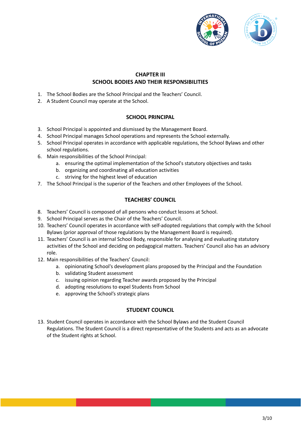

## **CHAPTER III SCHOOL BODIES AND THEIR RESPONSIBILITIES**

- 1. The School Bodies are the School Principal and the Teachers' Council.
- 2. A Student Council may operate at the School.

#### **SCHOOL PRINCIPAL**

- 3. School Principal is appointed and dismissed by the Management Board.
- 4. School Principal manages School operations and represents the School externally.
- 5. School Principal operates in accordance with applicable regulations, the School Bylaws and other school regulations.
- 6. Main responsibilities of the School Principal:
	- a. ensuring the optimal implementation of the School's statutory objectives and tasks
	- b. organizing and coordinating all education activities
	- c. striving for the highest level of education
- 7. The School Principal is the superior of the Teachers and other Employees of the School.

## **TEACHERS' COUNCIL**

- 8. Teachers' Council is composed of all persons who conduct lessons at School.
- 9. School Principal serves as the Chair of the Teachers' Council.
- 10. Teachers' Council operates in accordance with self-adopted regulations that comply with the School Bylaws (prior approval of those regulations by the Management Board is required).
- 11. Teachers' Council is an internal School Body, responsible for analysing and evaluating statutory activities of the School and deciding on pedagogical matters. Teachers' Council also has an advisory role.
- 12. Main responsibilities of the Teachers' Council:
	- a. opinionating School's development plans proposed by the Principal and the Foundation
	- b. validating Student assessment
	- c. issuing opinion regarding Teacher awards proposed by the Principal
	- d. adopting resolutions to expel Students from School
	- e. approving the School's strategic plans

#### **STUDENT COUNCIL**

13. Student Council operates in accordance with the School Bylaws and the Student Council Regulations. The Student Council is a direct representative of the Students and acts as an advocate of the Student rights at School.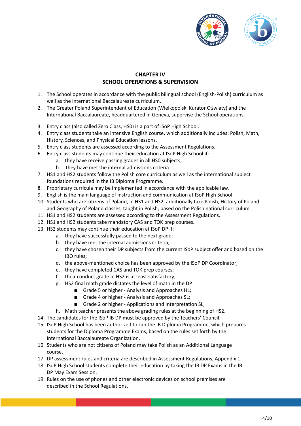

# **CHAPTER IV SCHOOL OPERATIONS & SUPERVISION**

- 1. The School operates in accordance with the public bilingual school (English-Polish) curriculum as well as the International Baccalaureate curriculum.
- 2. The Greater Poland Superintendent of Education (Wielkopolski Kurator Oświaty) and the International Baccalaureate, headquartered in Geneva, supervise the School operations.
- 3. Entry class (also called Zero Class, HS0) is a part of ISoP High School.
- 4. Entry class students take an intensive English course, which additionally includes: Polish, Math, History, Sciences, and Physical Education lessons.
- 5. Entry class students are assessed according to the Assessment Regulations.
- 6. Entry class students may continue their education at ISoP High School if:
	- a. they have receive passing grades in all HS0 subjects;
		- b. they have met the internal admissions criteria.
- 7. HS1 and HS2 students follow the Polish core curriculum as well as the international subject foundations required in the IB Diploma Programme.
- 8. Proprietary curricula may be implemented in accordance with the applicable law.
- 9. English is the main language of instruction and communication at ISoP High School.
- 10. Students who are citizens of Poland, in HS1 and HS2, additionally take Polish, History of Poland and Geography of Poland classes, taught in Polish, based on the Polish national curriculum.
- 11. HS1 and HS2 students are assessed according to the Assessment Regulations.
- 12. HS1 and HS2 students take mandatory CAS and TOK prep courses.
- 13. HS2 students may continue their education at ISoP DP if:
	- a. they have successfully passed to the next grade;
	- b. they have met the internal admissions criteria;
	- c. they have chosen their DP subjects from the current ISoP subject offer and based on the IBO rules;
	- d. the above-mentioned choice has been approved by the ISoP DP Coordinator;
	- e. they have completed CAS and TOK prep courses;
	- f. their conduct grade in HS2 is at least satisfactory;
	- g. HS2 final math grade dictates the level of math in the DP
		- Grade 5 or higher Analysis and Approaches HL;
		- Grade 4 or higher Analysis and Approaches SL;
		- Grade 2 or higher Applications and Interpretation SL;
	- h. Math teacher presents the above grading rules at the beginning of HS2.
- 14. The candidates for the ISoP IB DP must be approved by the Teachers' Council.
- 15. ISoP High School has been authorized to run the IB Diploma Programme, which prepares students for the Diploma Programme Exams, based on the rules set forth by the International Baccalaureate Organization.
- 16. Students who are not citizens of Poland may take Polish as an Additional Language course.
- 17. DP assessment rules and criteria are described in Assessment Regulations, Appendix 1.
- 18. ISoP High School students complete their education by taking the IB DP Exams in the IB DP May Exam Session.
- 19. Rules on the use of phones and other electronic devices on school premises are described in the School Regulations.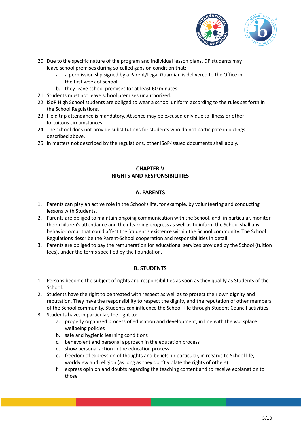

- 20. Due to the specific nature of the program and individual lesson plans, DP students may leave school premises during so-called gaps on condition that:
	- a. a permission slip signed by a Parent/Legal Guardian is delivered to the Office in the first week of school;
	- b. they leave school premises for at least 60 minutes.
- 21. Students must not leave school premises unauthorized.
- 22. ISoP High School students are obliged to wear a school uniform according to the rules set forth in the School Regulations.
- 23. Field trip attendance is mandatory. Absence may be excused only due to illness or other fortuitous circumstances.
- 24. The school does not provide substitutions for students who do not participate in outings described above.
- 25. In matters not described by the regulations, other ISoP-issued documents shall apply.

## **CHAPTER V RIGHTS AND RESPONSIBILITIES**

## **A. PARENTS**

- 1. Parents can play an active role in the School's life, for example, by volunteering and conducting lessons with Students.
- 2. Parents are obliged to maintain ongoing communication with the School, and, in particular, monitor their children's attendance and their learning progress as well as to inform the School shall any behavior occur that could affect the Student's existence within the School community. The School Regulations describe the Parent-School cooperation and responsibilities in detail.
- 3. Parents are obliged to pay the remuneration for educational services provided by the School (tuition fees), under the terms specified by the Foundation.

## **B. STUDENTS**

- 1. Persons become the subject of rights and responsibilities as soon as they qualify as Students of the School.
- 2. Students have the right to be treated with respect as well as to protect their own dignity and reputation. They have the responsibility to respect the dignity and the reputation of other members of the School community. Students can influence the School life through Student Council activities.
- 3. Students have, in particular, the right to:
	- a. properly organized process of education and development, in line with the workplace wellbeing policies
	- b. safe and hygienic learning conditions
	- c. benevolent and personal approach in the education process
	- d. show personal action in the education process
	- e. freedom of expression of thoughts and beliefs, in particular, in regards to School life, worldview and religion (as long as they don't violate the rights of others)
	- f. express opinion and doubts regarding the teaching content and to receive explanation to those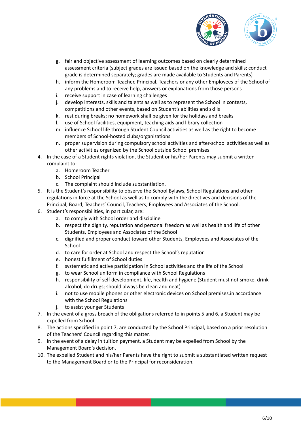

- g. fair and objective assessment of learning outcomes based on clearly determined assessment criteria (subject grades are issued based on the knowledge and skills; conduct grade is determined separately; grades are made available to Students and Parents)
- h. inform the Homeroom Teacher, Principal, Teachers or any other Employees of the School of any problems and to receive help, answers or explanations from those persons
- i. receive support in case of learning challenges
- j. develop interests, skills and talents as well as to represent the School in contests, competitions and other events, based on Student's abilities and skills
- k. rest during breaks; no homework shall be given for the holidays and breaks
- l. use of School facilities, equipment, teaching aids and library collection
- m. influence School life through Student Council activities as well as the right to become members of School-hosted clubs/organizations
- n. proper supervision during compulsory school activities and after-school activities as well as other activities organized by the School outside School premises
- 4. In the case of a Student rights violation, the Student or his/her Parents may submit a written complaint to:
	- a. Homeroom Teacher
	- b. School Principal
	- c. The complaint should include substantiation.
- 5. It is the Student's responsibility to observe the School Bylaws, School Regulations and other regulations in force at the School as well as to comply with the directives and decisions of the Principal, Board, Teachers' Council, Teachers, Employees and Associates of the School.
- 6. Student's responsibilities, in particular, are:
	- a. to comply with School order and discipline
	- b. respect the dignity, reputation and personal freedom as well as health and life of other Students, Employees and Associates of the School
	- c. dignified and proper conduct toward other Students, Employees and Associates of the School
	- d. to care for order at School and respect the School's reputation
	- e. honest fulfillment of School duties
	- f. systematic and active participation in School activities and the life of the School
	- g. to wear School uniform in compliance with School Regulations
	- h. responsibility of self development, life, health and hygiene (Student must not smoke, drink alcohol, do drugs; should always be clean and neat)
	- i. not to use mobile phones or other electronic devices on School premises,in accordance with the School Regulations
	- j. to assist younger Students
- 7. In the event of a gross breach of the obligations referred to in points 5 and 6, a Student may be expelled from School.
- 8. The actions specified in point 7, are conducted by the School Principal, based on a prior resolution of the Teachers' Council regarding this matter.
- 9. In the event of a delay in tuition payment, a Student may be expelled from School by the Management Board's decision.
- 10. The expelled Student and his/her Parents have the right to submit a substantiated written request to the Management Board or to the Principal for reconsideration.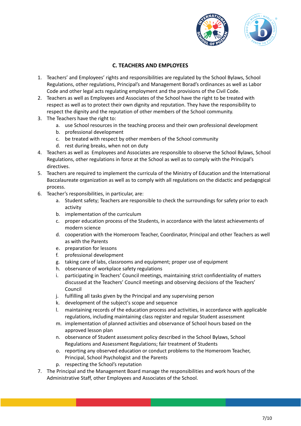

## **C. TEACHERS AND EMPLOYEES**

- 1. Teachers' and Employees' rights and responsibilities are regulated by the School Bylaws, School Regulations, other regulations, Principal's and Management Borad's ordinances as well as Labor Code and other legal acts regulating employment and the provisions of the Civil Code.
- 2. Teachers as well as Employees and Associates of the School have the right to be treated with respect as well as to protect their own dignity and reputation. They have the responsibility to respect the dignity and the reputation of other members of the School community.
- 3. The Teachers have the right to:
	- a. use School resources in the teaching process and their own professional development
	- b. professional development
	- c. be treated with respect by other members of the School community
	- d. rest during breaks, when not on duty
- 4. Teachers as well as Employees and Associates are responsible to observe the School Bylaws, School Regulations, other regulations in force at the School as well as to comply with the Principal's directives.
- 5. Teachers are required to implement the curricula of the Ministry of Education and the International Baccalaureate organization as well as to comply with all regulations on the didactic and pedagogical process.
- 6. Teacher's responsibilities, in particular, are:
	- a. Student safety; Teachers are responsible to check the surroundings for safety prior to each activity
	- b. implementation of the curriculum
	- c. proper education process of the Students, in accordance with the latest achievements of modern science
	- d. cooperation with the Homeroom Teacher, Coordinator, Principal and other Teachers as well as with the Parents
	- e. preparation for lessons
	- f. professional development
	- g. taking care of labs, classrooms and equipment; proper use of equipment
	- h. observance of workplace safety regulations
	- i. participating in Teachers' Council meetings, maintaining strict confidentiality of matters discussed at the Teachers' Council meetings and observing decisions of the Teachers' Council
	- j. fulfilling all tasks given by the Principal and any supervising person
	- k. development of the subject's scope and sequence
	- l. maintaining records of the education process and activities, in accordance with applicable regulations, including maintaining class register and regular Student assessment
	- m. implementation of planned activities and observance of School hours based on the approved lesson plan
	- n. observance of Student assessment policy described in the School Bylaws, School Regulations and Assessment Regulations; fair treatment of Students
	- o. reporting any observed education or conduct problems to the Homeroom Teacher, Principal, School Psychologist and the Parents
	- p. respecting the School's reputation
- 7. The Principal and the Management Board manage the responsibilities and work hours of the Administrative Staff, other Employees and Associates of the School.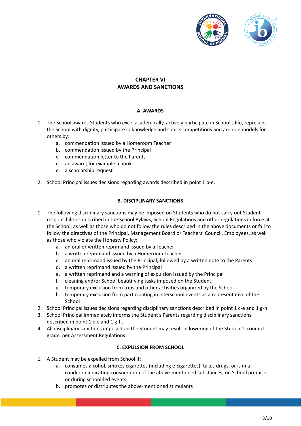

## **CHAPTER VI AWARDS AND SANCTIONS**

#### **A. AWARDS**

- 1. The School awards Students who excel academically, actively participate in School's life, represent the School with dignity, participate in knowledge and sports competitions and are role models for others by:
	- a. commendation issued by a Homeroom Teacher
	- b. commendation issued by the Principal
	- c. commendation letter to the Parents
	- d. an award; for example a book
	- e. a scholarship request
- 2. School Principal issues decisions regarding awards described in point 1 b-e.

#### **B. DISCIPLINARY SANCTIONS**

- 1. The following disciplinary sanctions may be imposed on Students who do not carry out Student responsibilities described in the School Bylaws, School Regulations and other regulations in force at the School, as well as those who do not follow the rules described in the above documents or fail to follow the directives of the Principal, Management Board or Teachers' Council, Employees, as well as those who violate the Honesty Policy:
	- a. an oral or written reprimand issued by a Teacher
	- b. a written reprimand issued by a Homeroom Teacher
	- c. an oral reprimand issued by the Principal, followed by a written note to the Parents
	- d. a written reprimand issued by the Principal
	- e. a written reprimand and a warning of expulsion issued by the Principal
	- f. cleaning and/or School beautifying tasks imposed on the Student
	- g. temporary exclusion from trips and other activities organized by the School
	- h. temporary exclusion from participating in interschool events as a representative of the School
- 2. School Principal issues decisions regarding disciplinary sanctions described in point 1 c-e and 1 g-h
- 3. School Principal immediately informs the Student's Parents regarding disciplinary sanctions described in point 1 c-e and 1 g-h.
- 4. All disciplinary sanctions imposed on the Student may result in lowering of the Student's conduct grade, per Assessment Regulations.

#### **C. EXPULSION FROM SCHOOL**

- 1. A Student may be expelled from School if:
	- a. consumes alcohol, smokes cigarettes (including e-cigarettes), takes drugs, or is in a condition indicating consumption of the above-mentioned substances, on School premises or during school-led events
	- b. promotes or distributes the above-mentioned stimulants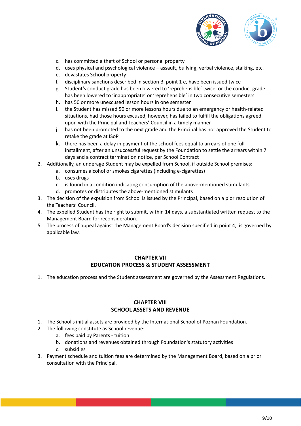

- c. has committed a theft of School or personal property
- d. uses physical and psychological violence assault, bullying, verbal violence, stalking, etc.
- e. devastates School property
- f. disciplinary sanctions described in section B, point 1 e, have been issued twice
- g. Student's conduct grade has been lowered to 'reprehensible' twice, or the conduct grade has been lowered to 'inappropriate' or 'reprehensible' in two consecutive semesters
- h. has 50 or more unexcused lesson hours in one semester
- i. the Student has missed 50 or more lessons hours due to an emergency or health-related situations, had those hours excused, however, has failed to fulfill the obligations agreed upon with the Principal and Teachers' Council in a timely manner
- j. has not been promoted to the next grade and the Principal has not approved the Student to retake the grade at ISoP
- k. there has been a delay in payment of the school fees equal to arrears of one full installment, after an unsuccessful request by the Foundation to settle the arrears within 7 days and a contract termination notice, per School Contract
- 2. Additionally, an underage Student may be expelled from School, if outside School premises:
	- a. consumes alcohol or smokes cigarettes (including e-cigarettes)
	- b. uses drugs
	- c. is found in a condition indicating consumption of the above-mentioned stimulants
	- d. promotes or distributes the above-mentioned stimulants
- 3. The decision of the expulsion from School is issued by the Principal, based on a pior resolution of the Teachers' Council.
- 4. The expelled Student has the right to submit, within 14 days, a substantiated written request to the Management Board for reconsideration.
- 5. The process of appeal against the Management Board's decision specified in point 4, is governed by applicable law.

## **CHAPTER VII EDUCATION PROCESS & STUDENT ASSESSMENT**

1. The education process and the Student assessment are governed by the Assessment Regulations.

# **CHAPTER VIII SCHOOL ASSETS AND REVENUE**

- 1. The School's initial assets are provided by the International School of Poznan Foundation.
- 2. The following constitute as School revenue:
	- a. fees paid by Parents tuition
		- b. donations and revenues obtained through Foundation's statutory activities
		- c. subsidies
- 3. Payment schedule and tuition fees are determined by the Management Board, based on a prior consultation with the Principal.